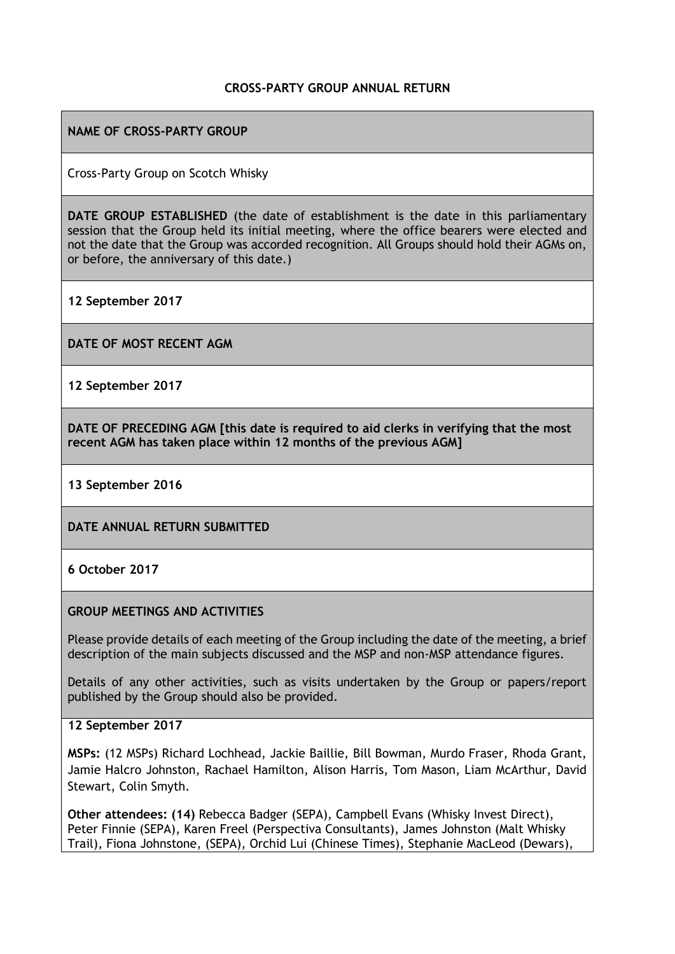### **CROSS-PARTY GROUP ANNUAL RETURN**

## **NAME OF CROSS-PARTY GROUP**

Cross-Party Group on Scotch Whisky

**DATE GROUP ESTABLISHED** (the date of establishment is the date in this parliamentary session that the Group held its initial meeting, where the office bearers were elected and not the date that the Group was accorded recognition. All Groups should hold their AGMs on, or before, the anniversary of this date.)

**12 September 2017**

**DATE OF MOST RECENT AGM**

**12 September 2017**

**DATE OF PRECEDING AGM [this date is required to aid clerks in verifying that the most recent AGM has taken place within 12 months of the previous AGM]**

#### **13 September 2016**

**DATE ANNUAL RETURN SUBMITTED**

### **6 October 2017**

### **GROUP MEETINGS AND ACTIVITIES**

Please provide details of each meeting of the Group including the date of the meeting, a brief description of the main subjects discussed and the MSP and non-MSP attendance figures.

Details of any other activities, such as visits undertaken by the Group or papers/report published by the Group should also be provided.

### **12 September 2017**

**MSPs:** (12 MSPs) Richard Lochhead, Jackie Baillie, Bill Bowman, Murdo Fraser, Rhoda Grant, Jamie Halcro Johnston, Rachael Hamilton, Alison Harris, Tom Mason, Liam McArthur, David Stewart, Colin Smyth.

**Other attendees: (14)** Rebecca Badger (SEPA), Campbell Evans (Whisky Invest Direct), Peter Finnie (SEPA), Karen Freel (Perspectiva Consultants), James Johnston (Malt Whisky Trail), Fiona Johnstone, (SEPA), Orchid Lui (Chinese Times), Stephanie MacLeod (Dewars),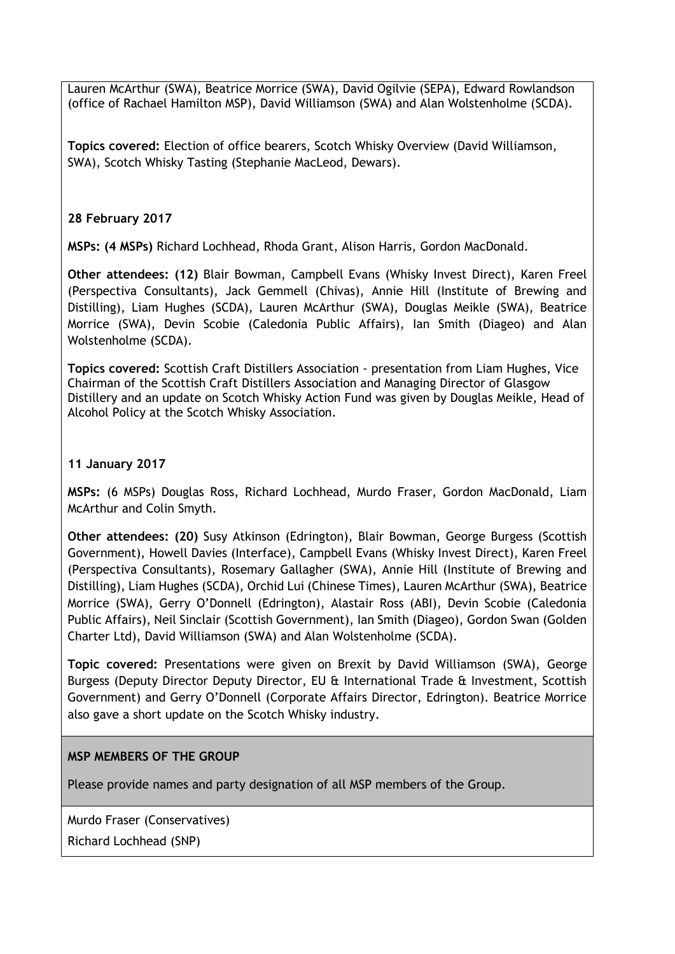Lauren McArthur (SWA), Beatrice Morrice (SWA), David Ogilvie (SEPA), Edward Rowlandson (office of Rachael Hamilton MSP), David Williamson (SWA) and Alan Wolstenholme (SCDA).

**Topics covered:** Election of office bearers, Scotch Whisky Overview (David Williamson, SWA), Scotch Whisky Tasting (Stephanie MacLeod, Dewars).

# **28 February 2017**

**MSPs: (4 MSPs)** Richard Lochhead, Rhoda Grant, Alison Harris, Gordon MacDonald.

**Other attendees: (12)** Blair Bowman, Campbell Evans (Whisky Invest Direct), Karen Freel (Perspectiva Consultants), Jack Gemmell (Chivas), Annie Hill (Institute of Brewing and Distilling), Liam Hughes (SCDA), Lauren McArthur (SWA), Douglas Meikle (SWA), Beatrice Morrice (SWA), Devin Scobie (Caledonia Public Affairs), Ian Smith (Diageo) and Alan Wolstenholme (SCDA).

**Topics covered:** Scottish Craft Distillers Association - presentation from Liam Hughes, Vice Chairman of the Scottish Craft Distillers Association and Managing Director of Glasgow Distillery and an update on Scotch Whisky Action Fund was given by Douglas Meikle, Head of Alcohol Policy at the Scotch Whisky Association.

## **11 January 2017**

**MSPs:** (6 MSPs) Douglas Ross, Richard Lochhead, Murdo Fraser, Gordon MacDonald, Liam McArthur and Colin Smyth.

**Other attendees: (20)** Susy Atkinson (Edrington), Blair Bowman, George Burgess (Scottish Government), Howell Davies (Interface), Campbell Evans (Whisky Invest Direct), Karen Freel (Perspectiva Consultants), Rosemary Gallagher (SWA), Annie Hill (Institute of Brewing and Distilling), Liam Hughes (SCDA), Orchid Lui (Chinese Times), Lauren McArthur (SWA), Beatrice Morrice (SWA), Gerry O'Donnell (Edrington), Alastair Ross (ABI), Devin Scobie (Caledonia Public Affairs), Neil Sinclair (Scottish Government), Ian Smith (Diageo), Gordon Swan (Golden Charter Ltd), David Williamson (SWA) and Alan Wolstenholme (SCDA).

**Topic covered:** Presentations were given on Brexit by David Williamson (SWA), George Burgess (Deputy Director Deputy Director, EU & International Trade & Investment, Scottish Government) and Gerry O'Donnell (Corporate Affairs Director, Edrington). Beatrice Morrice also gave a short update on the Scotch Whisky industry.

### **MSP MEMBERS OF THE GROUP**

Please provide names and party designation of all MSP members of the Group.

Murdo Fraser (Conservatives)

Richard Lochhead (SNP)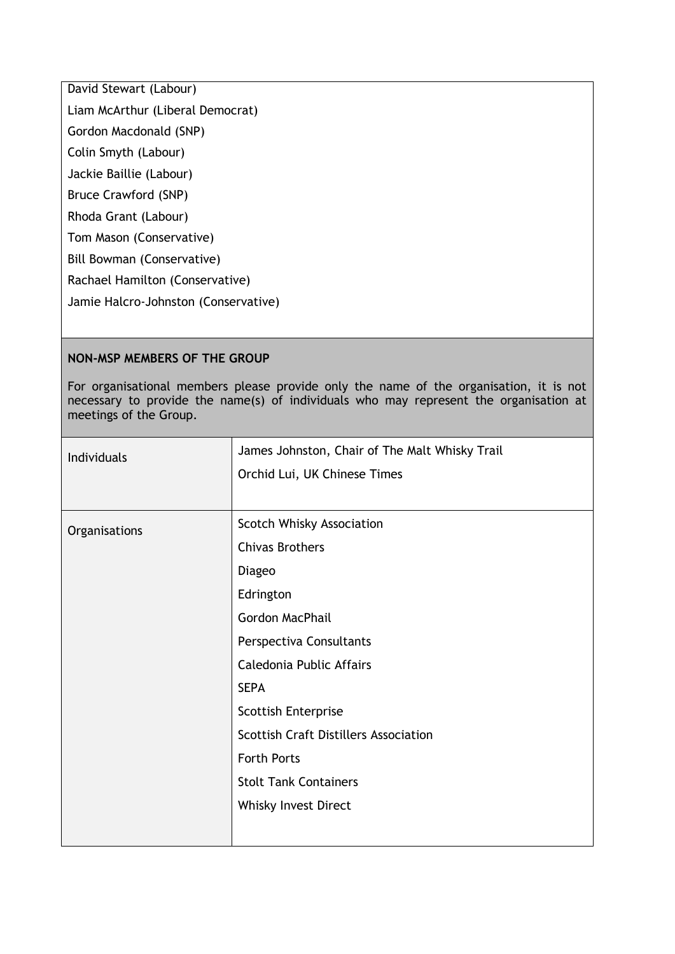David Stewart (Labour)

Liam McArthur (Liberal Democrat)

Gordon Macdonald (SNP)

Colin Smyth (Labour)

Jackie Baillie (Labour)

Bruce Crawford (SNP)

Rhoda Grant (Labour)

Tom Mason (Conservative)

Bill Bowman (Conservative)

Rachael Hamilton (Conservative)

Jamie Halcro-Johnston (Conservative)

### **NON-MSP MEMBERS OF THE GROUP**

For organisational members please provide only the name of the organisation, it is not necessary to provide the name(s) of individuals who may represent the organisation at meetings of the Group.

| Individuals   | James Johnston, Chair of The Malt Whisky Trail |
|---------------|------------------------------------------------|
|               | Orchid Lui, UK Chinese Times                   |
|               |                                                |
| Organisations | Scotch Whisky Association                      |
|               | <b>Chivas Brothers</b>                         |
|               | Diageo                                         |
|               | Edrington                                      |
|               | <b>Gordon MacPhail</b>                         |
|               | Perspectiva Consultants                        |
|               | Caledonia Public Affairs                       |
|               | <b>SEPA</b>                                    |
|               | <b>Scottish Enterprise</b>                     |
|               | <b>Scottish Craft Distillers Association</b>   |
|               | <b>Forth Ports</b>                             |
|               | <b>Stolt Tank Containers</b>                   |
|               | Whisky Invest Direct                           |
|               |                                                |
|               |                                                |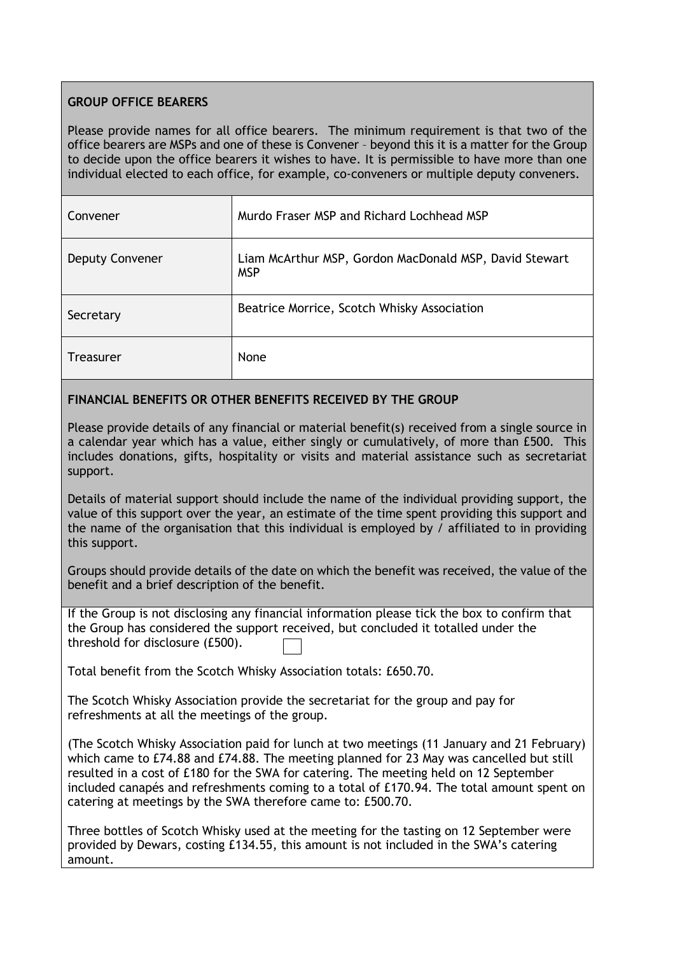# **GROUP OFFICE BEARERS**

Please provide names for all office bearers. The minimum requirement is that two of the office bearers are MSPs and one of these is Convener – beyond this it is a matter for the Group to decide upon the office bearers it wishes to have. It is permissible to have more than one individual elected to each office, for example, co-conveners or multiple deputy conveners.

| Convener               | Murdo Fraser MSP and Richard Lochhead MSP                            |
|------------------------|----------------------------------------------------------------------|
| <b>Deputy Convener</b> | Liam McArthur MSP, Gordon MacDonald MSP, David Stewart<br><b>MSP</b> |
| Secretary              | Beatrice Morrice, Scotch Whisky Association                          |
| Treasurer              | None                                                                 |

# **FINANCIAL BENEFITS OR OTHER BENEFITS RECEIVED BY THE GROUP**

Please provide details of any financial or material benefit(s) received from a single source in a calendar year which has a value, either singly or cumulatively, of more than £500. This includes donations, gifts, hospitality or visits and material assistance such as secretariat support.

Details of material support should include the name of the individual providing support, the value of this support over the year, an estimate of the time spent providing this support and the name of the organisation that this individual is employed by / affiliated to in providing this support.

Groups should provide details of the date on which the benefit was received, the value of the benefit and a brief description of the benefit.

If the Group is not disclosing any financial information please tick the box to confirm that the Group has considered the support received, but concluded it totalled under the threshold for disclosure (£500).

Total benefit from the Scotch Whisky Association totals: £650.70.

The Scotch Whisky Association provide the secretariat for the group and pay for refreshments at all the meetings of the group.

(The Scotch Whisky Association paid for lunch at two meetings (11 January and 21 February) which came to £74.88 and £74.88. The meeting planned for 23 May was cancelled but still resulted in a cost of £180 for the SWA for catering. The meeting held on 12 September included canapés and refreshments coming to a total of £170.94. The total amount spent on catering at meetings by the SWA therefore came to: £500.70.

Three bottles of Scotch Whisky used at the meeting for the tasting on 12 September were provided by Dewars, costing £134.55, this amount is not included in the SWA's catering amount.